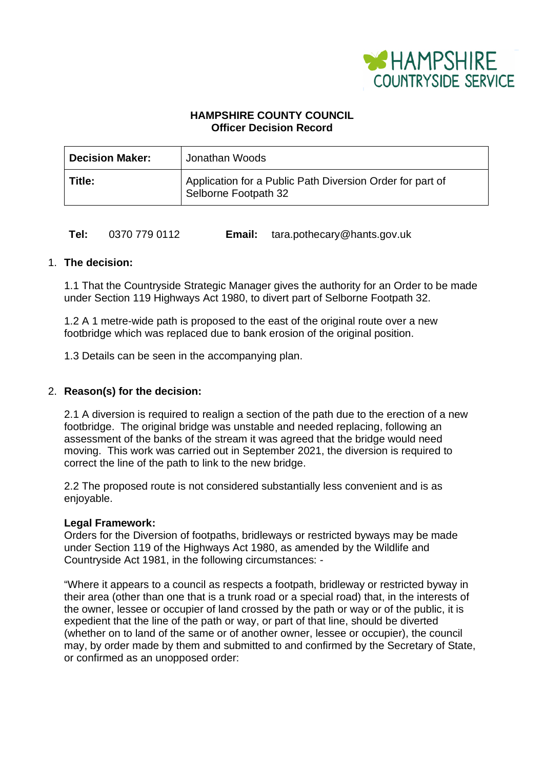

# **HAMPSHIRE COUNTY COUNCIL Officer Decision Record**

| <b>Decision Maker:</b> | Jonathan Woods                                                                    |
|------------------------|-----------------------------------------------------------------------------------|
| Title:                 | Application for a Public Path Diversion Order for part of<br>Selborne Footpath 32 |

# **Tel:** 0370 779 0112 **Email:** tara.pothecary@hants.gov.uk

# 1. **The decision:**

1.1 That the Countryside Strategic Manager gives the authority for an Order to be made under Section 119 Highways Act 1980, to divert part of Selborne Footpath 32.

1.2 A 1 metre-wide path is proposed to the east of the original route over a new footbridge which was replaced due to bank erosion of the original position.

1.3 Details can be seen in the accompanying plan.

# 2. **Reason(s) for the decision:**

2.1 A diversion is required to realign a section of the path due to the erection of a new footbridge. The original bridge was unstable and needed replacing, following an assessment of the banks of the stream it was agreed that the bridge would need moving. This work was carried out in September 2021, the diversion is required to correct the line of the path to link to the new bridge.

2.2 The proposed route is not considered substantially less convenient and is as enjoyable.

## **Legal Framework:**

Orders for the Diversion of footpaths, bridleways or restricted byways may be made under Section 119 of the Highways Act 1980, as amended by the Wildlife and Countryside Act 1981, in the following circumstances: -

"Where it appears to a council as respects a footpath, bridleway or restricted byway in their area (other than one that is a trunk road or a special road) that, in the interests of the owner, lessee or occupier of land crossed by the path or way or of the public, it is expedient that the line of the path or way, or part of that line, should be diverted (whether on to land of the same or of another owner, lessee or occupier), the council may, by order made by them and submitted to and confirmed by the Secretary of State, or confirmed as an unopposed order: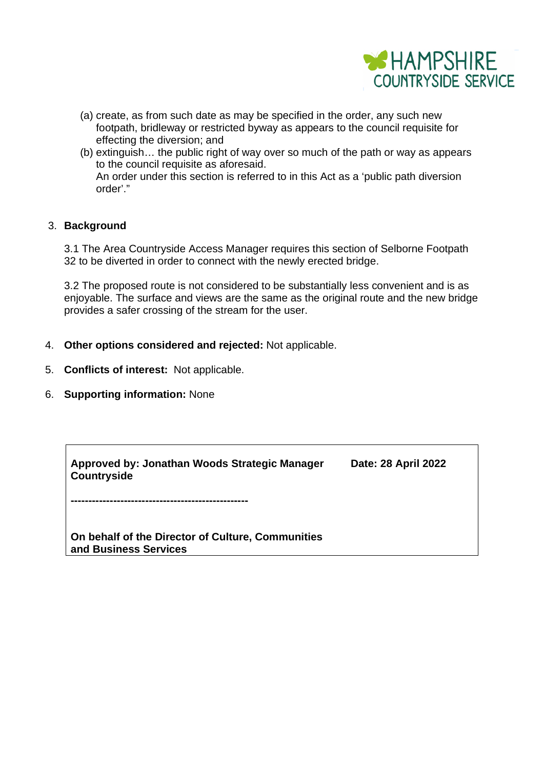

- (a) create, as from such date as may be specified in the order, any such new footpath, bridleway or restricted byway as appears to the council requisite for effecting the diversion; and
- (b) extinguish… the public right of way over so much of the path or way as appears to the council requisite as aforesaid. An order under this section is referred to in this Act as a 'public path diversion order'."

# 3. **Background**

3.1 The Area Countryside Access Manager requires this section of Selborne Footpath 32 to be diverted in order to connect with the newly erected bridge.

3.2 The proposed route is not considered to be substantially less convenient and is as enjoyable. The surface and views are the same as the original route and the new bridge provides a safer crossing of the stream for the user.

- 4. **Other options considered and rejected:** Not applicable.
- 5. **Conflicts of interest:** Not applicable.
- 6. **Supporting information:** None

| Approved by: Jonathan Woods Strategic Manager | Date: 28 April 2022 |
|-----------------------------------------------|---------------------|
| Countryside                                   |                     |

**--------------------------------------------------** 

**On behalf of the Director of Culture, Communities and Business Services**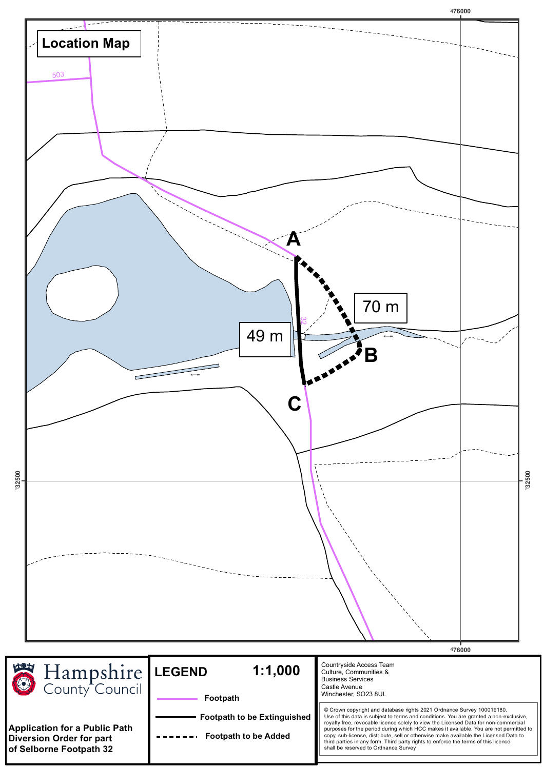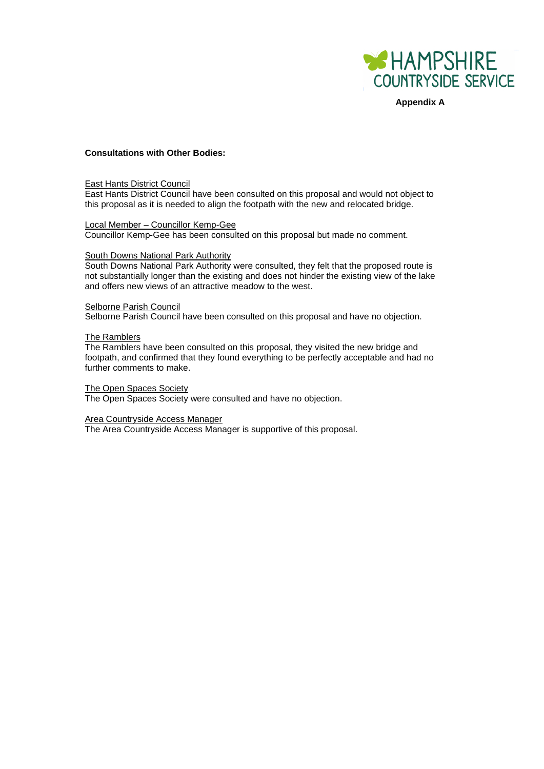

**Appendix A**

#### **Consultations with Other Bodies:**

#### East Hants District Council

East Hants District Council have been consulted on this proposal and would not object to this proposal as it is needed to align the footpath with the new and relocated bridge.

### Local Member – Councillor Kemp-Gee

Councillor Kemp-Gee has been consulted on this proposal but made no comment.

#### South Downs National Park Authority

South Downs National Park Authority were consulted, they felt that the proposed route is not substantially longer than the existing and does not hinder the existing view of the lake and offers new views of an attractive meadow to the west.

#### Selborne Parish Council

Selborne Parish Council have been consulted on this proposal and have no objection.

#### The Ramblers

The Ramblers have been consulted on this proposal, they visited the new bridge and footpath, and confirmed that they found everything to be perfectly acceptable and had no further comments to make.

#### The Open Spaces Society

The Open Spaces Society were consulted and have no objection.

### Area Countryside Access Manager

The Area Countryside Access Manager is supportive of this proposal.